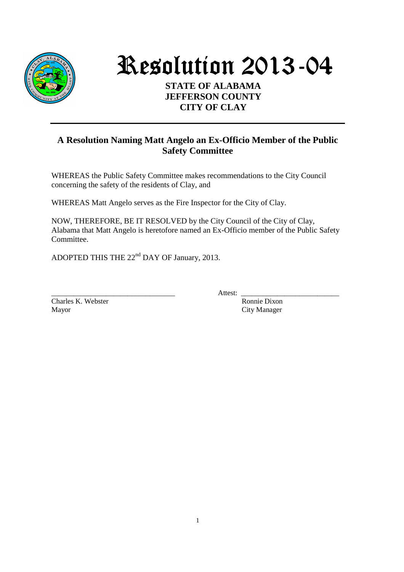

Resolution 2013-04

## **STATE OF ALABAMA JEFFERSON COUNTY CITY OF CLAY**

## **A Resolution Naming Matt Angelo an Ex-Officio Member of the Public Safety Committee**

WHEREAS the Public Safety Committee makes recommendations to the City Council concerning the safety of the residents of Clay, and

WHEREAS Matt Angelo serves as the Fire Inspector for the City of Clay.

NOW, THEREFORE, BE IT RESOLVED by the City Council of the City of Clay, Alabama that Matt Angelo is heretofore named an Ex-Officio member of the Public Safety Committee.

ADOPTED THIS THE 22<sup>nd</sup> DAY OF January, 2013.

Charles K. Webster Ronnie Dixon Mayor City Manager

\_\_\_\_\_\_\_\_\_\_\_\_\_\_\_\_\_\_\_\_\_\_\_\_\_\_\_\_\_\_\_\_\_\_ Attest: \_\_\_\_\_\_\_\_\_\_\_\_\_\_\_\_\_\_\_\_\_\_\_\_\_\_\_